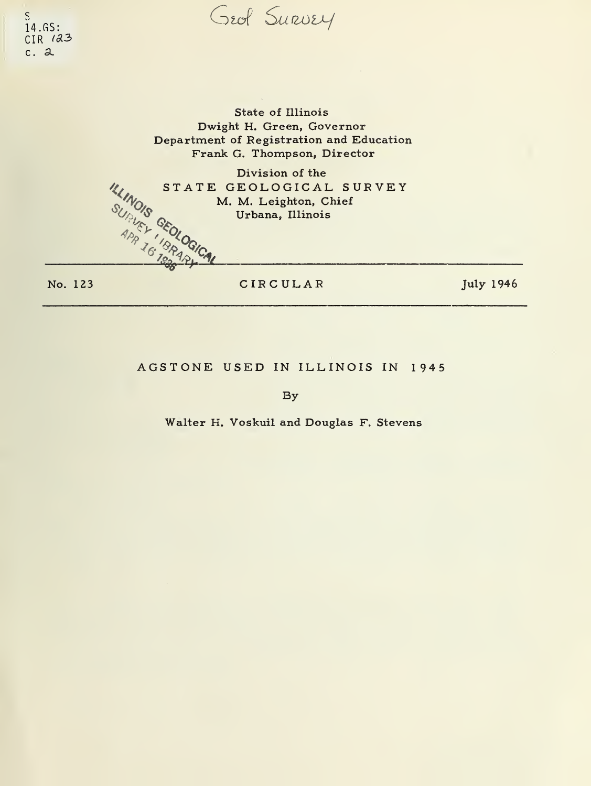Geof Survey

 $\overline{S}$  $14.6S:$  $CIR$   $123$  $c.2$ 

> State of Illinois Dwight H. Green, Governor Department of Registration and Education Frank G. Thompson, Director

**ILLINOIS GEOLOGICAL** Division of the STATE GEOLOGICAL SURVEY M. M. Leighton, Chief Urbana, Illinois

No. 123

CIRCULAR

**July 1946** 

## AGSTONE USED IN ILLINOIS IN 1945

By

Walter H. Voskuil and Douglas F. Stevens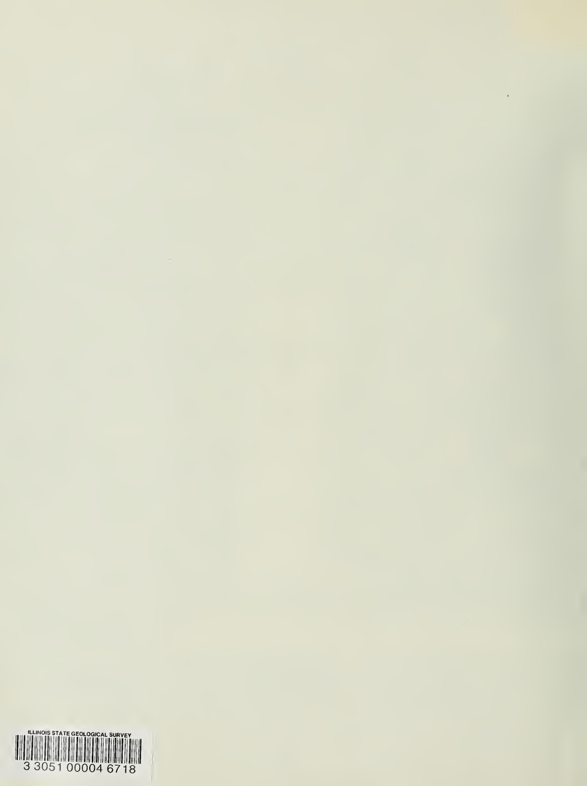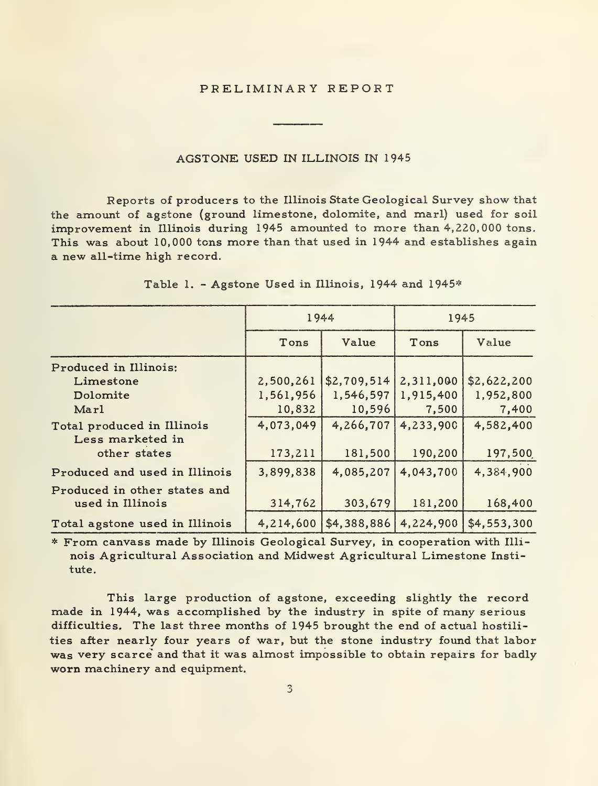### PRELIMINARY REPORT

#### AGSTONE USED IN ILLINOIS IN 1945

Reports of producers to the Illinois State Geological Survey show that the amount of agstone (ground limestone, dolomite, and marl) used for soil improvement in Illinois during 1945 amounted to more than 4,220,000 tons. This was about 10,000 tons more than that used in 1944 and establishes again a new all-time high record.

|                                                | 1944      |                                                           | 1945                |             |  |
|------------------------------------------------|-----------|-----------------------------------------------------------|---------------------|-------------|--|
|                                                | Tons      | Value                                                     | Tons                | Value       |  |
| Produced in Illinois:                          |           |                                                           |                     |             |  |
| Limestone                                      |           | 2,500,261   \$2,709,514   2,311,000                       |                     | \$2,622,200 |  |
| Dolomite                                       | 1,561,956 |                                                           | 1,546,597 1,915,400 | 1,952,800   |  |
| Marl                                           | 10,832    | 10,596                                                    | 7,500               | 7,400       |  |
| Total produced in Illinois<br>Less marketed in | 4,073,049 | 4.266.707                                                 | 4,233,900           | 4,582,400   |  |
| other states                                   | 173,211   | 181,500                                                   | 190,200             | 197,500     |  |
| Produced and used in Illinois                  | 3,899,838 | 4,085,207                                                 | 4,043,700           | 4,384,900   |  |
| Produced in other states and                   |           |                                                           |                     |             |  |
| used in Illinois                               | 314,762   | 303.679                                                   | 181,200             | 168,400     |  |
| Total agstone used in Illinois                 |           | 4, 214, 600   \$4, 388, 886   4, 224, 900   \$4, 553, 300 |                     |             |  |

Table 1. - Agstone Used in Illinois, 1944 and 1945\*

\* From canvass made by Illinois 'rom canvass made by Illinois Geological Survey, in cooperation with Illi–<br>nois Agricultural Association and Midwest Agricultural Limestone Insti–<br>tute.

This large production of agstone, exceeding slightly the record made in 1944, was accomplished by the industry in spite of many serious difficulties. The last three months of 1945 brought the end of actual hostilities after nearly four years of war, but the stone industry found that labor was very scarce' and that it was almost impossible to obtain repairs for badly worn machinery and equipment.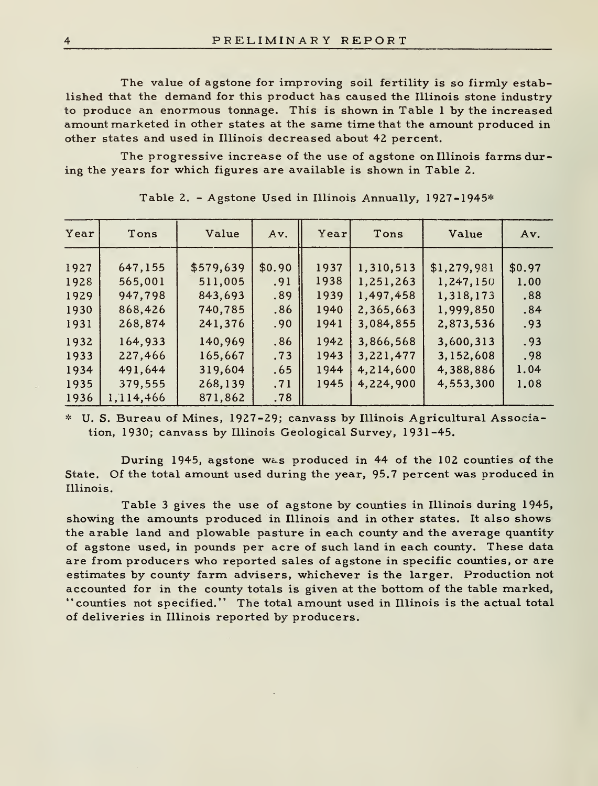The value of agstone for improving soil fertility is so firmly established that the demand for this product has caused the Illinois stone industry to produce an enormous tonnage. This is shown in Table <sup>1</sup> by the increased amount marketed in other states at the same time that the amount produced in other states and used in Illinois decreased about 42 percent.

The progressive increase of the use of agstone on Illinois farms during the years for which figures are available is shown in Table 2.

| Year | Value<br>Tons |           | Year<br>Tons<br>Av. |      |           | Value       | Av.    |
|------|---------------|-----------|---------------------|------|-----------|-------------|--------|
|      |               |           |                     |      |           |             |        |
| 1927 | 647,155       | \$579,639 | \$0.90              | 1937 | 1,310,513 | \$1,279,981 | \$0.97 |
| 1928 | 565,001       | 511,005   | .91                 | 1938 | 1,251,263 | 1,247,150   | 1.00   |
| 1929 | 947,798       | 843.693   | .89                 | 1939 | 1.497.458 | 1,318,173   | .88    |
| 1930 | 868,426       | 740,785   | .86                 | 1940 | 2,365,663 | 1,999,850   | .84    |
| 1931 | 268,874       | 241,376   | .90                 | 1941 | 3,084,855 | 2,873,536   | .93    |
| 1932 | 164.933       | 140,969   | .86                 | 1942 | 3.866.568 | 3.600.313   | .93    |
| 1933 | 227,466       | 165,667   | .73                 | 1943 | 3,221,477 | 3,152,608   | .98    |
| 1934 | 491.644       | 319,604   | .65                 | 1944 | 4.214.600 | 4,388,886   | 1.04   |
| 1935 | 379,555       | 268,139   | .71                 | 1945 | 4,224,900 | 4,553,300   | 1.08   |
| 1936 | 1.114.466     | 871,862   | .78                 |      |           |             |        |

Table 2. - Agstone Used in Illinois Annually, 1927-1945\*

U. S. Bureau of Mines, 1927-29; canvass by Illinois Agricultural Association, 1930; canvass by Illinois Geological Survey, 1931-45.

During 1945, agstone was produced in 44 of the 102 counties of the State. Of the total amount used during the year, 95.7 percent was produced in Illinois.

Table <sup>3</sup> gives the use of agstone by counties in Illinois during 1945, showing the amounts produced in Illinois and in other states. It also shows the arable land and plowable pasture in each county and the average quantity of agstone used, in pounds per acre of such land in each county. These data are from producers who reported sales of agstone in specific counties, or are estimates by county farm advisers, whichever is the larger. Production not accounted for in the county totals is given at the bottom of the table marked, "counties not specified." The total amount used in Illinois is the actual total of deliveries in Illinois reported by producers.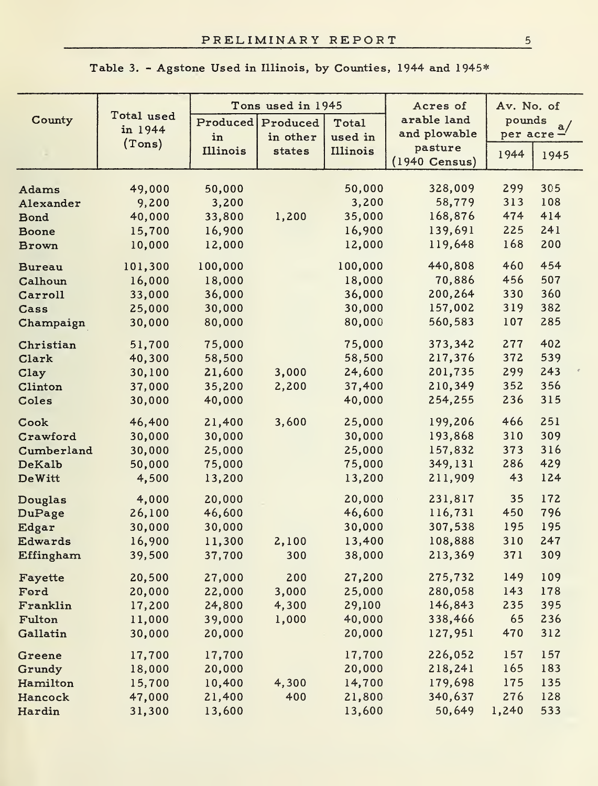|               |            |          | Tons used in 1945 |          | Acres of                | Av. No. of |      |
|---------------|------------|----------|-------------------|----------|-------------------------|------------|------|
| County        | Total used | Produced | Produced          | Total    | arable land             | pounds     | a/   |
|               | in 1944    | in       | in other          | used in  | and plowable            | per acre-  |      |
|               | (Tons)     | Illinois | states            | Illinois | pasture                 | 1944       | 1945 |
|               |            |          |                   |          | $(1940 \text{ Census})$ |            |      |
| Adams         | 49,000     | 50,000   |                   | 50,000   | 328,009                 | 299        | 305  |
| Alexander     | 9,200      | 3,200    |                   | 3,200    | 58,779                  | 313        | 108  |
| Bond          | 40,000     | 33,800   | 1,200             | 35,000   | 168,876                 | 474        | 414  |
| Boone         | 15,700     | 16,900   |                   | 16,900   | 139,691                 | 225        | 241  |
| <b>Brown</b>  | 10,000     | 12,000   |                   | 12,000   | 119,648                 | 168        | 200  |
| <b>Bureau</b> | 101.300    | 100,000  |                   | 100,000  | 440,808                 | 460        | 454  |
| Calhoun       | 16,000     | 18,000   |                   | 18,000   | 70,886                  | 456        | 507  |
| Carroll       | 33,000     | 36,000   |                   | 36,000   | 200,264                 | 330        | 360  |
| Cass          | 25,000     | 30,000   |                   | 30,000   | 157,002                 | 319        | 382  |
| Champaign     | 30,000     | 80,000   |                   | 80,000   | 560,583                 | 107        | 285  |
| Christian     | 51,700     | 75,000   |                   | 75,000   | 373,342                 | 277        | 402  |
| Clark         | 40,300     | 58,500   |                   | 58,500   | 217,376                 | 372        | 539  |
| Clay          | 30,100     | 21,600   | 3,000             | 24,600   | 201,735                 | 299        | 243  |
| Clinton       | 37,000     | 35,200   | 2,200             | 37,400   | 210,349                 | 352        | 356  |
| Coles         | 30,000     | 40,000   |                   | 40,000   | 254,255                 | 236        | 315  |
| Cook          | 46,400     | 21,400   | 3,600             | 25,000   | 199,206                 | 466        | 251  |
| Crawford      | 30,000     | 30,000   |                   | 30,000   | 193,868                 | 310        | 309  |
| Cumberland    | 30,000     | 25,000   |                   | 25,000   | 157,832                 | 373        | 316  |
| DeKalb        | 50,000     | 75,000   |                   | 75,000   | 349,131                 | 286        | 429  |
| <b>DeWitt</b> | 4,500      | 13,200   |                   | 13,200   | 211,909                 | 43         | 124  |
| Douglas       | 4,000      | 20,000   |                   | 20,000   | 231,817                 | 35         | 172  |
| DuPage        | 26,100     | 46,600   |                   | 46,600   | 116,731                 | 450        | 796  |
| Edgar         | 30,000     | 30,000   |                   | 30,000   | 307,538                 | 195        | 195  |
| Edwards       | 16,900     | 11,300   | 2,100             | 13,400   | 108,888                 | 310        | 247  |
| Effingham     | 39,500     | 37,700   | 300               | 38,000   | 213,369                 | 371        | 309  |
| Fayette       | 20,500     | 27,000   | 200               | 27,200   | 275,732                 | 149        | 109  |
| Ford          | 20,000     | 22,000   | 3,000             | 25,000   | 280,058                 | 143        | 178  |
| Franklin      | 17,200     | 24,800   | 4,300             | 29,100   | 146,843                 | 235        | 395  |
| Fulton        | 11,000     | 39,000   | 1,000             | 40,000   | 338,466                 | 65         | 236  |
| Gallatin      | 30,000     | 20,000   |                   | 20,000   | 127,951                 | 470        | 312  |
| Greene        | 17,700     | 17,700   |                   | 17,700   | 226,052                 | 157        | 157  |
| Grundy        | 18,000     | 20,000   |                   | 20,000   | 218,241                 | 165        | 183  |
| Hamilton      | 15,700     | 10,400   | 4,300             | 14,700   | 179,698                 | 175        | 135  |
| Hancock       | 47,000     | 21,400   | 400               | 21,800   | 340,637                 | 276        | 128  |
| Hardin        | 31,300     | 13,600   |                   | 13,600   | 50,649                  | 1,240      | 533  |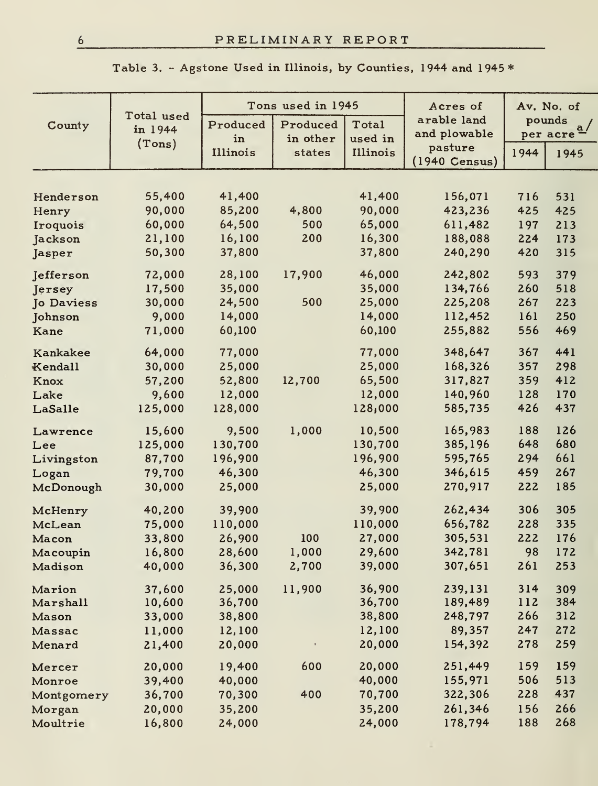| Table 3. – Agstone Used in Illinois, by Counties, 1944 and 1945 * |  |  |  |
|-------------------------------------------------------------------|--|--|--|
|-------------------------------------------------------------------|--|--|--|

|                   |                       |          | Tons used in 1945 |          | Acres of                |      | Av. No. of          |
|-------------------|-----------------------|----------|-------------------|----------|-------------------------|------|---------------------|
| County            | Total used<br>in 1944 | Produced | Produced          | Total    | arable land             |      | pounds              |
|                   | (Tons)                | in       | in other          | used in  | and plowable            |      | $per$ $\frac{a}{c}$ |
|                   |                       | Illinois | states            | Illinois | pasture                 | 1944 | 1945                |
|                   |                       |          |                   |          | $(1940 \text{ Census})$ |      |                     |
|                   |                       |          |                   |          |                         |      |                     |
| Henderson         | 55,400                | 41,400   |                   | 41,400   | 156,071                 | 716  | 531                 |
| Henry             | 90,000                | 85,200   | 4,800             | 90,000   | 423,236                 | 425  | 425                 |
| Iroquois          | 60,000                | 64,500   | 500               | 65,000   | 611,482                 | 197  | 213                 |
| Jackson           | 21,100                | 16,100   | 200               | 16,300   | 188,088                 | 224  | 173                 |
| Jasper            | 50,300                | 37,800   |                   | 37,800   | 240,290                 | 420  | 315                 |
| Jefferson         | 72,000                | 28,100   | 17,900            | 46,000   | 242,802                 | 593  | 379                 |
| Jersey            | 17,500                | 35,000   |                   | 35,000   | 134,766                 | 260  | 518                 |
| <b>Jo Daviess</b> | 30,000                | 24,500   | 500               | 25,000   | 225,208                 | 267  | 223                 |
| Johnson           | 9,000                 | 14,000   |                   | 14,000   | 112,452                 | 161  | 250                 |
| Kane              | 71,000                | 60,100   |                   | 60,100   | 255,882                 | 556  | 469                 |
| Kankakee          | 64,000                | 77,000   |                   | 77,000   | 348,647                 | 367  | 441                 |
| Kendall           | 30,000                | 25,000   |                   | 25,000   | 168,326                 | 357  | 298                 |
| Knox              | 57,200                | 52,800   | 12,700            | 65,500   | 317,827                 | 359  | 412                 |
| Lake              | 9,600                 | 12,000   |                   | 12,000   | 140,960                 | 128  | 170                 |
| LaSalle           | 125,000               | 128,000  |                   | 128,000  | 585,735                 | 426  | 437                 |
| Lawrence          | 15,600                | 9,500    | 1,000             | 10.500   | 165,983                 | 188  | 126                 |
| Lee               | 125,000               | 130,700  |                   | 130,700  | 385,196                 | 648  | 680                 |
| Livingston        | 87,700                | 196,900  |                   | 196,900  | 595,765                 | 294  | 661                 |
| Logan             | 79,700                | 46,300   |                   | 46,300   | 346,615                 | 459  | 267                 |
| McDonough         | 30,000                | 25,000   |                   | 25,000   | 270,917                 | 222  | 185                 |
| McHenry           | 40,200                | 39,900   |                   | 39,900   | 262,434                 | 306  | 305                 |
| McLean            | 75,000                | 110,000  |                   | 110,000  | 656,782                 | 228  | 335                 |
| Macon             | 33,800                | 26,900   | 100               | 27,000   | 305,531                 | 222  | 176                 |
| Macoupin          | 16,800                | 28,600   | 1,000             | 29,600   | 342,781                 | 98   | 172                 |
| Madison           | 40,000                | 36,300   | 2,700             | 39,000   | 307,651                 | 261  | 253                 |
| Marion            | 37,600                | 25,000   | 11,900            | 36,900   | 239.131                 | 314  | 309                 |
| Marshall          | 10,600                | 36,700   |                   | 36,700   | 189,489                 | 112  | 384                 |
| Mason             | 33,000                | 38,800   |                   | 38,800   | 248,797                 | 266  | 312                 |
| Massac            | 11.000                | 12,100   |                   | 12,100   | 89,357                  | 247  | 272                 |
| Menard            | 21,400                | 20,000   |                   | 20,000   | 154,392                 | 278  | 259                 |
| Mercer            | 20,000                | 19,400   | 600               | 20,000   | 251,449                 | 159  | 159                 |
| Monroe            | 39,400                | 40,000   |                   | 40,000   | 155,971                 | 506  | 513                 |
| Montgomery        | 36,700                | 70,300   | 400               | 70,700   | 322,306                 | 228  | 437                 |
| Morgan            | 20,000                | 35,200   |                   | 35,200   | 261,346                 | 156  | 266                 |
| Moultrie          | 16,800                | 24,000   |                   | 24,000   | 178,794                 | 188  | 268                 |
|                   |                       |          |                   |          |                         |      |                     |

6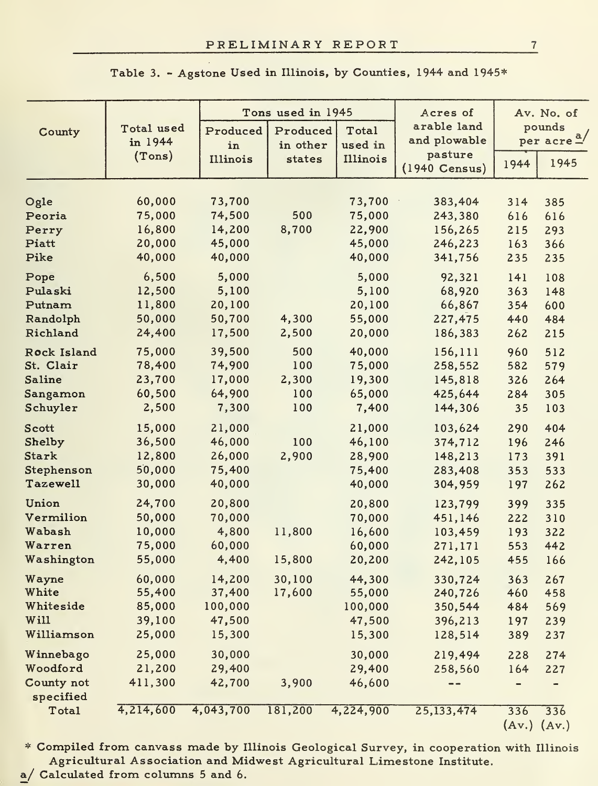|                         |                  |                  | Tons used in 1945 |                  | Acres of                    | Av. No. of      |                        |
|-------------------------|------------------|------------------|-------------------|------------------|-----------------------------|-----------------|------------------------|
| County                  | Total used       | Produced         | Produced          | Total            | arable land<br>and plowable |                 | pounds                 |
|                         | in 1944          | in               | in other          | used in          | pasture                     |                 | per acre $\frac{a}{a}$ |
|                         | (Tons)           | Illinois         | states            | Illinois         | $(1940 \text{ Census})$     | 1944            | 1945                   |
|                         |                  |                  |                   |                  |                             |                 |                        |
| Ogle                    | 60,000           | 73,700           | 500               | 73,700           | 383,404                     | 314             | 385                    |
| Peoria                  | 75,000           | 74,500<br>14,200 |                   | 75,000           | 243,380                     | 616             | 616                    |
| Perry<br>Piatt          | 16,800<br>20,000 | 45,000           | 8,700             | 22,900<br>45,000 | 156,265<br>246,223          | 215             | 293                    |
| Pike                    | 40,000           | 40,000           |                   | 40,000           | 341,756                     | 163<br>235      | 366<br>235             |
| Pope                    | 6,500            | 5,000            |                   | 5,000            | 92,321                      | 141             | 108                    |
| Pulaski                 | 12,500           | 5,100            |                   | 5,100            | 68,920                      | 363             | 148                    |
| Putnam                  | 11,800           | 20,100           |                   | 20,100           | 66,867                      | 354             | 600                    |
| Randolph                | 50,000           | 50,700           | 4,300             | 55,000           | 227,475                     | 440             | 484                    |
| Richland                | 24,400           | 17,500           | 2,500             | 20,000           | 186,383                     | 262             | 215                    |
| Rock Island             | 75,000           | 39,500           | 500               | 40,000           | 156,111                     | 960             | 512                    |
| St. Clair               | 78,400           | 74,900           | 100               | 75,000           | 258,552                     | 582             | 579                    |
| <b>Saline</b>           | 23,700           | 17,000           | 2,300             | 19,300           | 145,818                     | 326             | 264                    |
| Sangamon                | 60,500           | 64,900           | 100               | 65,000           | 425,644                     | 284             | 305                    |
| Schuyler                | 2,500            | 7,300            | 100               | 7,400            | 144,306                     | 35              | 103                    |
| Scott                   | 15,000           | 21,000           |                   | 21,000           | 103,624                     | 290             | 404                    |
| Shelby                  | 36,500           | 46,000           | 100               | 46,100           | 374,712                     | 196             | 246                    |
| Stark                   | 12,800           | 26,000           | 2,900             | 28,900           | 148,213                     | 173             | 391                    |
| Stephenson              | 50,000           | 75,400           |                   | 75,400           | 283,408                     | 353             | 533                    |
| Tazewell                | 30,000           | 40,000           |                   | 40,000           | 304,959                     | 197             | 262                    |
| Union                   | 24,700           | 20,800           |                   | 20,800           | 123,799                     | 399             | 335                    |
| Vermilion               | 50,000           | 70.000           |                   | 70,000           | 451.146                     | 222             | 310                    |
| Wabash                  | 10,000           | 4,800            | 11,800            | 16,600           | 103,459                     | 193             | 322                    |
| Warren                  | 75,000           | 60,000           |                   | 60,000           | 271,171                     | 553             | 442                    |
| Washington              | 55,000           | 4,400            | 15,800            | 20,200           | 242,105                     | 455             | 166                    |
| Wayne                   | 60,000           | 14,200           | 30,100            | 44,300           | 330.724                     | 363             | 267                    |
| White                   | 55,400           | 37,400           | 17,600            | 55,000           | 240,726                     | 460             | 458                    |
| Whiteside               | 85,000           | 100,000          |                   | 100,000          | 350,544                     | 484             | 569                    |
| Wi11                    | 39,100           | 47,500           |                   | 47,500           | 396,213                     | 197             | 239                    |
| Williamson              | 25,000           | 15,300           |                   | 15,300           | 128,514                     | 389             | 237                    |
| Winnebago               | 25,000           | 30,000           |                   | 30,000           | 219,494                     | 228             | 274                    |
| Woodford                | 21,200           | 29,400           |                   | 29,400           | 258,560                     | 164             | 227                    |
| County not<br>specified | 411,300          | 42,700           | 3,900             | 46,600           | --                          |                 |                        |
| Total                   | 4,214,600        | 4,043,700        | 181,200           | 4,224,900        | 25,133,474                  | 336             | 336                    |
|                         |                  |                  |                   |                  |                             | $(Av.)$ $(Av.)$ |                        |

# Table 3. - Agstone Used in Illinois, by Counties, 1944 and 1945\*

\* Compiled from canvass made by Illinois Geological Survey, in cooperation with Illinois Agricultural Association and Midwest Agricultural Limestone Institute,

a/ Calculated from columns <sup>5</sup> and 6.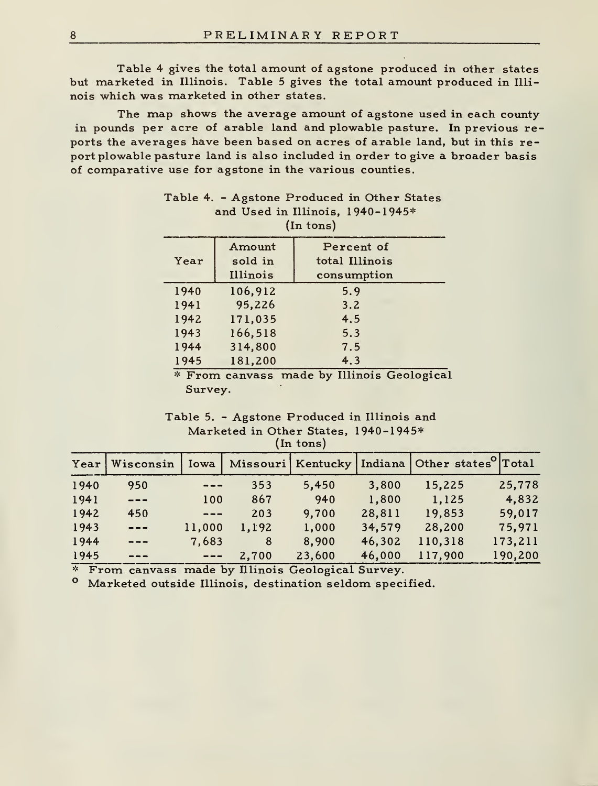Table 4 gives the total amount of agstone produced in other states but marketed in Illinois. Table <sup>5</sup> gives the total amount produced in Illi nois which was marketed in other states.

The map shows the average amount of agstone used in each county in pounds per acre of arable land and plowable pasture. In previous reports the averages have been based on acres of arable land, but in this report plowable pasture land is also included in order to give a broader basis of comparative use for agstone in the various counties.

|      | Amount   | Percent of               |  |
|------|----------|--------------------------|--|
| Year | sold in  | total Illinois           |  |
|      | Illinois | consumption              |  |
| 1940 | 106.912  | 5.9                      |  |
| 1941 | 95.226   | 3.2                      |  |
| 1942 | 171.035  | 4.5                      |  |
| 1943 | 166,518  | 5.3                      |  |
| 1944 | 314,800  | 7.5                      |  |
| 1945 | 181,200  | 4.3                      |  |
|      |          | $\overline{\phantom{a}}$ |  |

| Table 4. - Agstone Produced in Other States |  |
|---------------------------------------------|--|
| and Used in Illinois, 1940-1945*            |  |
| (In tons)                                   |  |

\* From canvass made by Illinois Geological Survey.

#### Table 5. - Agstone Produced in Illinois and Marketed in Other States, 1940-1945\* (In tons)

|      |                        |          |       |        |        | Year   Wisconsin   Iowa   Missouri   Kentucky   Indiana   Other states <sup>o</sup>   Total |         |
|------|------------------------|----------|-------|--------|--------|---------------------------------------------------------------------------------------------|---------|
| 1940 | 950                    | $- - -$  | 353   | 5.450  | 3,800  | 15.225                                                                                      | 25,778  |
| 1941 | $---$                  | 100      | 867   | 940    | 1,800  | 1,125                                                                                       | 4,832   |
| 1942 | 450                    | $---$    | 203   | 9.700  | 28.811 | 19,853                                                                                      | 59,017  |
| 1943 | $---$                  | 11,000   | 1.192 | 1,000  | 34,579 | 28,200                                                                                      | 75,971  |
| 1944 | $- - -$                | 7.683    | 8     | 8.900  | 46,302 | 110.318                                                                                     | 173.211 |
| 1945 | $\qquad \qquad \cdots$ | $\cdots$ | 2,700 | 23,600 | 46,000 | 117,900                                                                                     | 190,200 |

From canvass made by Illinois Geological Survey.

Marketed outside Illinois, destination seldom specified.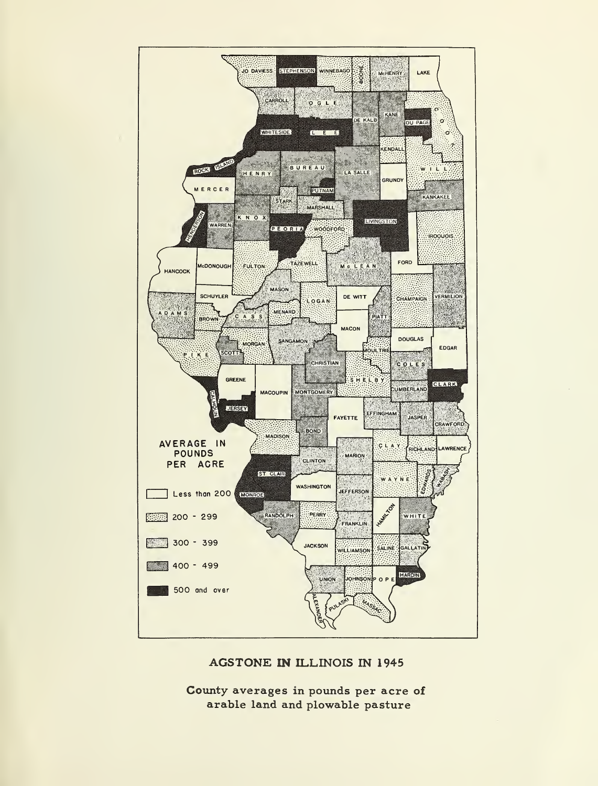

# AGSTONE IN ILLINOIS IN 1945

County averages in pounds per acre of arable land and plowable pasture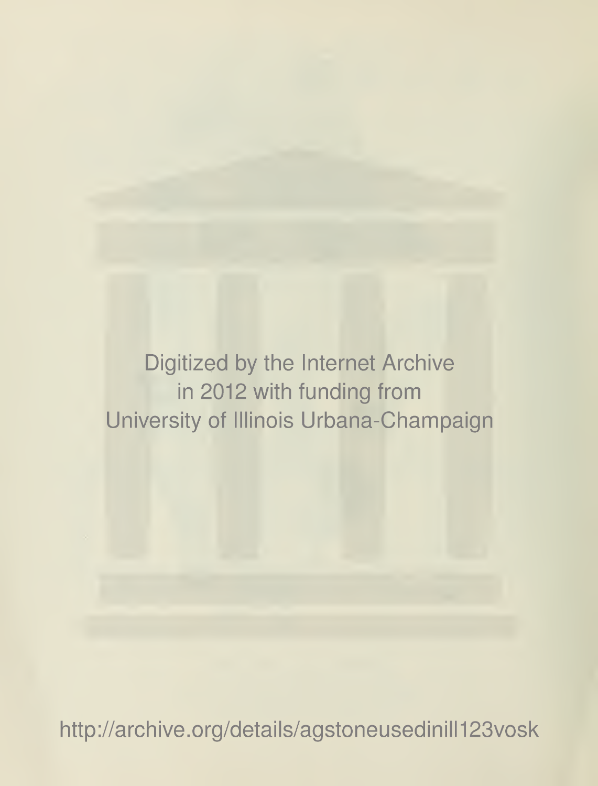Digitized by the Internet Archive in 2012 with funding from University of Illinois Urbana-Champaign

http://archive.org/details/agstoneusedinill123vosk